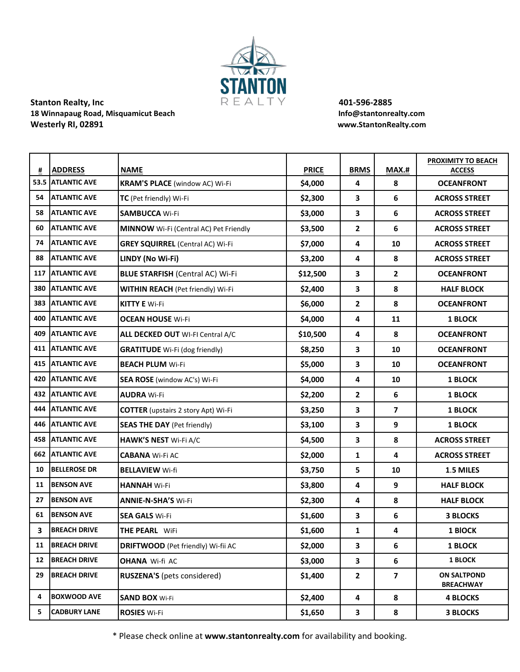

## **Stanton Realty, Inc All**  $R \to \mathbb{A} \cup \mathbb{T} \setminus \mathbb{A}$  **<b>401-596-2885** 18 Winnapaug Road, Misquamicut Beach **Info@stantonrealty.com Westerly RI, 02891 www.StantonRealty.com**

| #   | <b>ADDRESS</b>      | <b>NAME</b>                                   | <b>PRICE</b> | <b>BRMS</b>    | MAX.#                   | PROXIMITY TO BEACH<br><b>ACCESS</b>    |
|-----|---------------------|-----------------------------------------------|--------------|----------------|-------------------------|----------------------------------------|
|     | 53.5 ATLANTIC AVE   | <b>KRAM'S PLACE</b> (window AC) Wi-Fi         | \$4,000      | 4              | 8                       | <b>OCEANFRONT</b>                      |
| 54  | <b>ATLANTIC AVE</b> | TC (Pet friendly) Wi-Fi                       | \$2,300      | 3              | 6                       | <b>ACROSS STREET</b>                   |
| 58  | <b>ATLANTIC AVE</b> | <b>SAMBUCCA Wi-Fi</b>                         | \$3,000      | 3              | 6                       | <b>ACROSS STREET</b>                   |
| 60  | <b>ATLANTIC AVE</b> | <b>MINNOW</b> Wi-Fi (Central AC) Pet Friendly | \$3,500      | $\mathbf{2}$   | 6                       | <b>ACROSS STREET</b>                   |
| 74  | <b>ATLANTIC AVE</b> | <b>GREY SQUIRREL</b> (Central AC) Wi-Fi       | \$7,000      | 4              | 10                      | <b>ACROSS STREET</b>                   |
| 88  | <b>ATLANTIC AVE</b> | LINDY (No Wi-Fi)                              | \$3,200      | 4              | 8                       | <b>ACROSS STREET</b>                   |
| 117 | <b>ATLANTIC AVE</b> | <b>BLUE STARFISH (Central AC) Wi-Fi</b>       | \$12,500     | 3              | $\mathbf{2}$            | <b>OCEANFRONT</b>                      |
| 380 | <b>ATLANTIC AVE</b> | <b>WITHIN REACH</b> (Pet friendly) Wi-Fi      | \$2,400      | 3              | 8                       | <b>HALF BLOCK</b>                      |
| 383 | <b>ATLANTIC AVE</b> | <b>KITTY E Wi-Fi</b>                          | \$6,000      | $\overline{2}$ | 8                       | <b>OCEANFRONT</b>                      |
| 400 | <b>ATLANTIC AVE</b> | <b>OCEAN HOUSE Wi-Fi</b>                      | \$4,000      | 4              | 11                      | <b>1 BLOCK</b>                         |
| 409 | <b>ATLANTIC AVE</b> | ALL DECKED OUT WI-FI Central A/C              | \$10,500     | 4              | 8                       | <b>OCEANFRONT</b>                      |
| 411 | <b>ATLANTIC AVE</b> | <b>GRATITUDE</b> Wi-Fi (dog friendly)         | \$8,250      | 3              | 10                      | <b>OCEANFRONT</b>                      |
| 415 | <b>ATLANTIC AVE</b> | <b>BEACH PLUM Wi-Fi</b>                       | \$5,000      | 3              | 10                      | <b>OCEANFRONT</b>                      |
| 420 | <b>ATLANTIC AVE</b> | <b>SEA ROSE</b> (window AC's) Wi-Fi           | \$4,000      | 4              | 10                      | <b>1 BLOCK</b>                         |
| 432 | <b>ATLANTIC AVE</b> | <b>AUDRA Wi-Fi</b>                            | \$2,200      | $\mathbf{2}$   | 6                       | <b>1 BLOCK</b>                         |
| 444 | <b>ATLANTIC AVE</b> | <b>COTTER</b> (upstairs 2 story Apt) Wi-Fi    | \$3,250      | 3              | 7                       | <b>1 BLOCK</b>                         |
| 446 | <b>ATLANTIC AVE</b> | <b>SEAS THE DAY (Pet friendly)</b>            | \$3,100      | 3              | 9                       | <b>1 BLOCK</b>                         |
| 458 | <b>ATLANTIC AVE</b> | <b>HAWK'S NEST Wi-Fi A/C</b>                  | \$4,500      | 3              | 8                       | <b>ACROSS STREET</b>                   |
| 662 | <b>ATLANTIC AVE</b> | <b>CABANA Wi-Fi AC</b>                        | \$2,000      | $\mathbf{1}$   | 4                       | <b>ACROSS STREET</b>                   |
| 10  | <b>BELLEROSE DR</b> | <b>BELLAVIEW Wi-fi</b>                        | \$3,750      | 5              | 10                      | 1.5 MILES                              |
| 11  | <b>BENSON AVE</b>   | <b>HANNAH Wi-Fi</b>                           | \$3,800      | 4              | 9                       | <b>HALF BLOCK</b>                      |
| 27  | <b>BENSON AVE</b>   | <b>ANNIE-N-SHA'S Wi-Fi</b>                    | \$2,300      | 4              | 8                       | <b>HALF BLOCK</b>                      |
| 61  | <b>BENSON AVE</b>   | <b>SEA GALS Wi-Fi</b>                         | \$1,600      | 3              | 6                       | <b>3 BLOCKS</b>                        |
| 3   | <b>BREACH DRIVE</b> | <b>THE PEARL WiFi</b>                         | \$1,600      | 1              | 4                       | <b>1 BIOCK</b>                         |
| 11  | <b>BREACH DRIVE</b> | <b>DRIFTWOOD</b> (Pet friendly) Wi-fii AC     | \$2,000      | 3              | 6                       | <b>1 BLOCK</b>                         |
| 12  | <b>BREACH DRIVE</b> | <b>OHANA Wi-fi AC</b>                         | \$3,000      | 3              | 6                       | 1 BLOCK                                |
| 29  | <b>BREACH DRIVE</b> | RUSZENA'S (pets considered)                   | \$1,400      | $\mathbf{2}$   | $\overline{\mathbf{z}}$ | <b>ON SALTPOND</b><br><b>BREACHWAY</b> |
| 4   | <b>BOXWOOD AVE</b>  | <b>SAND BOX Wi-Fi</b>                         | \$2,400      | 4              | 8                       | <b>4 BLOCKS</b>                        |
| 5.  | <b>CADBURY LANE</b> | <b>ROSIES Wi-Fi</b>                           | \$1,650      | $\mathbf{3}$   | 8                       | <b>3 BLOCKS</b>                        |

\* Please check online at **www.stantonrealty.com** for availability and booking.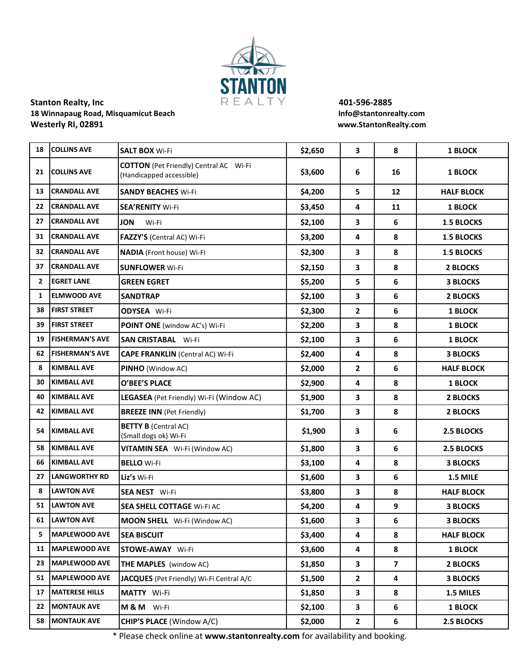

## **Stanton Realty, Inc All**  $R \to \mathbb{A} \cup \mathbb{T} \setminus \mathbb{A}$  **<b>401-596-2885** 18 Winnapaug Road, Misquamicut Beach **Info@stantonrealty.com Westerly RI, 02891 www.StantonRealty.com**

| 18           | <b>COLLINS AVE</b>     | <b>SALT BOX Wi-Fi</b>                                                     | \$2,650 | $\overline{\mathbf{3}}$ | 8                 | <b>1 BLOCK</b>    |
|--------------|------------------------|---------------------------------------------------------------------------|---------|-------------------------|-------------------|-------------------|
| 21           | <b>COLLINS AVE</b>     | <b>COTTON</b> (Pet Friendly) Central AC Wi-Fi<br>(Handicapped accessible) | \$3,600 | 6                       | 16                | <b>1 BLOCK</b>    |
| 13           | <b>CRANDALL AVE</b>    | <b>SANDY BEACHES Wi-Fi</b>                                                | \$4,200 | 5                       | $12 \overline{ }$ | <b>HALF BLOCK</b> |
| 22           | <b>CRANDALL AVE</b>    | <b>SEA'RENITY Wi-Fi</b>                                                   | \$3,450 | 4                       | 11                | <b>1 BLOCK</b>    |
| 27           | <b>CRANDALL AVE</b>    | <b>JON</b><br>Wi-Fi                                                       | \$2,100 | 3                       | 6                 | <b>1.5 BLOCKS</b> |
| 31           | <b>CRANDALL AVE</b>    | FAZZY'S (Central AC) Wi-Fi                                                | \$3,200 | 4                       | 8                 | <b>1.5 BLOCKS</b> |
| 32           | <b>CRANDALL AVE</b>    | <b>NADIA</b> (Front house) Wi-Fi                                          | \$2,300 | 3                       | 8                 | <b>1.5 BLOCKS</b> |
| 37           | <b>CRANDALL AVE</b>    | <b>SUNFLOWER Wi-Fi</b>                                                    | \$2,150 | $\mathbf{3}$            | 8                 | 2 BLOCKS          |
| $\mathbf{2}$ | <b>EGRET LANE</b>      | <b>GREEN EGRET</b>                                                        | \$5,200 | 5                       | 6                 | <b>3 BLOCKS</b>   |
| 1            | <b>ELMWOOD AVE</b>     | <b>SANDTRAP</b>                                                           | \$2,100 | 3                       | 6                 | <b>2 BLOCKS</b>   |
| 38           | <b>FIRST STREET</b>    | <b>ODYSEA</b> Wi-Fi                                                       | \$2,300 | $\overline{2}$          | 6                 | <b>1 BLOCK</b>    |
| 39           | <b>FIRST STREET</b>    | POINT ONE (window AC's) Wi-Fi                                             | \$2,200 | 3                       | 8                 | <b>1 BLOCK</b>    |
| 19           | <b>FISHERMAN'S AVE</b> | <b>SAN CRISTABAL Wi-Fi</b>                                                | \$2,100 | 3                       | 6                 | <b>1 BLOCK</b>    |
| 62           | <b>FISHERMAN'S AVE</b> | <b>CAPE FRANKLIN</b> (Central AC) Wi-Fi                                   | \$2,400 | 4                       | 8                 | <b>3 BLOCKS</b>   |
| 8            | <b>KIMBALL AVE</b>     | PINHO (Window AC)                                                         | \$2,000 | $\mathbf{2}$            | 6                 | <b>HALF BLOCK</b> |
| 30           | <b>KIMBALL AVE</b>     | O'BEE'S PLACE                                                             | \$2,900 | 4                       | 8                 | <b>1 BLOCK</b>    |
| 40           | <b>KIMBALL AVE</b>     | LEGASEA (Pet Friendly) Wi-Fi (Window AC)                                  | \$1,900 | 3                       | 8                 | <b>2 BLOCKS</b>   |
| 42           | <b>KIMBALL AVE</b>     | <b>BREEZE INN (Pet Friendly)</b>                                          | \$1,700 | 3                       | 8                 | <b>2 BLOCKS</b>   |
| 54           | <b>KIMBALL AVE</b>     | <b>BETTY B (Central AC)</b><br>(Small dogs ok) Wi-Fi                      | \$1,900 | $\mathbf{3}$            | 6                 | <b>2.5 BLOCKS</b> |
| 58           | <b>KIMBALL AVE</b>     | VITAMIN SEA Wi-Fi (Window AC)                                             | \$1,800 | 3                       | 6                 | 2.5 BLOCKS        |
| 66           | <b>KIMBALL AVE</b>     | <b>BELLO</b> Wi-Fi                                                        | \$3,100 | 4                       | 8                 | <b>3 BLOCKS</b>   |
| 27           | <b>LANGWORTHY RD</b>   | Liz's Wi-Fi                                                               | \$1,600 | 3                       | 6                 | 1.5 MILE          |
| 8            | <b>LAWTON AVE</b>      | <b>SEA NEST Wi-Fi</b>                                                     | \$3,800 | 3                       | 8                 | <b>HALF BLOCK</b> |
| 51           | <b>LAWTON AVE</b>      | <b>SEA SHELL COTTAGE Wi-Fi AC</b>                                         | \$4,200 | 4                       | 9                 | <b>3 BLOCKS</b>   |
| 61           | <b>LAWTON AVE</b>      | MOON SHELL Wi-Fi (Window AC)                                              | \$1,600 | 3                       | 6                 | <b>3 BLOCKS</b>   |
| 5.           | MAPLEWOOD AVE          | <b>SEA BISCUIT</b>                                                        | \$3,400 | 4                       | 8                 | <b>HALF BLOCK</b> |
|              | 11   MAPLEWOOD AVE     | <b>STOWE-AWAY Wi-Fi</b>                                                   | \$3,600 | 4                       | 8                 | <b>1 BLOCK</b>    |
|              | 23   MAPLEWOOD AVE     | <b>THE MAPLES</b> (window AC)                                             | \$1,850 | $\mathbf{3}$            | 7                 | 2 BLOCKS          |
|              | 51   MAPLEWOOD AVE     | JACQUES (Pet Friendly) Wi-Fi Central A/C                                  | \$1,500 | $\mathbf{2}$            | 4                 | <b>3 BLOCKS</b>   |
|              | 17   MATERESE HILLS    | MATTY Wi-Fi                                                               | \$1,850 | 3                       | 8                 | 1.5 MILES         |
|              | 22 MONTAUK AVE         | M&M Wi-Fi                                                                 | \$2,100 | 3                       | 6                 | <b>1 BLOCK</b>    |
|              | 58 MONTAUK AVE         | CHIP'S PLACE (Window A/C)                                                 | \$2,000 | $\overline{2}$          | 6                 | 2.5 BLOCKS        |
|              |                        |                                                                           |         |                         |                   |                   |

\* Please check online at **www.stantonrealty.com** for availability and booking.